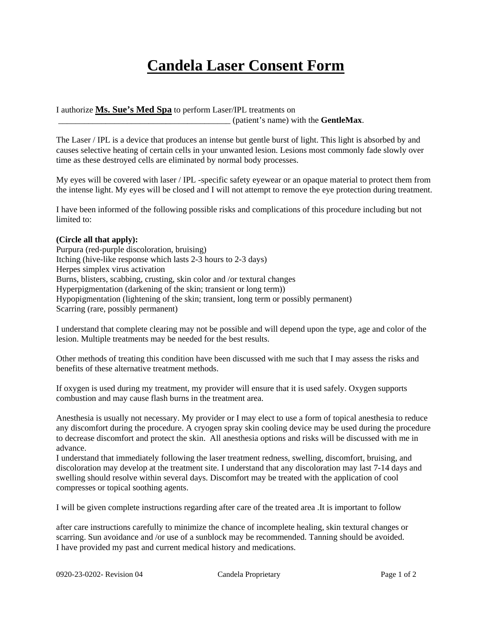## **Candela Laser Consent Form**

I authorize **Ms. Sue's Med Spa** to perform Laser/IPL treatments on \_\_\_\_\_\_\_\_\_\_\_\_\_\_\_\_\_\_\_\_\_\_\_\_\_\_\_\_\_\_\_\_\_\_\_\_\_\_\_\_ (patient's name) with the **GentleMax**.

The Laser / IPL is a device that produces an intense but gentle burst of light. This light is absorbed by and causes selective heating of certain cells in your unwanted lesion. Lesions most commonly fade slowly over time as these destroyed cells are eliminated by normal body processes.

My eyes will be covered with laser / IPL -specific safety eyewear or an opaque material to protect them from the intense light. My eyes will be closed and I will not attempt to remove the eye protection during treatment.

I have been informed of the following possible risks and complications of this procedure including but not limited to:

## **(Circle all that apply):**

Purpura (red-purple discoloration, bruising) Itching (hive-like response which lasts 2-3 hours to 2-3 days) Herpes simplex virus activation Burns, blisters, scabbing, crusting, skin color and /or textural changes Hyperpigmentation (darkening of the skin; transient or long term)) Hypopigmentation (lightening of the skin; transient, long term or possibly permanent) Scarring (rare, possibly permanent)

I understand that complete clearing may not be possible and will depend upon the type, age and color of the lesion. Multiple treatments may be needed for the best results.

Other methods of treating this condition have been discussed with me such that I may assess the risks and benefits of these alternative treatment methods.

If oxygen is used during my treatment, my provider will ensure that it is used safely. Oxygen supports combustion and may cause flash burns in the treatment area.

Anesthesia is usually not necessary. My provider or I may elect to use a form of topical anesthesia to reduce any discomfort during the procedure. A cryogen spray skin cooling device may be used during the procedure to decrease discomfort and protect the skin. All anesthesia options and risks will be discussed with me in advance.

I understand that immediately following the laser treatment redness, swelling, discomfort, bruising, and discoloration may develop at the treatment site. I understand that any discoloration may last 7-14 days and swelling should resolve within several days. Discomfort may be treated with the application of cool compresses or topical soothing agents.

I will be given complete instructions regarding after care of the treated area .It is important to follow

after care instructions carefully to minimize the chance of incomplete healing, skin textural changes or scarring. Sun avoidance and /or use of a sunblock may be recommended. Tanning should be avoided. I have provided my past and current medical history and medications.